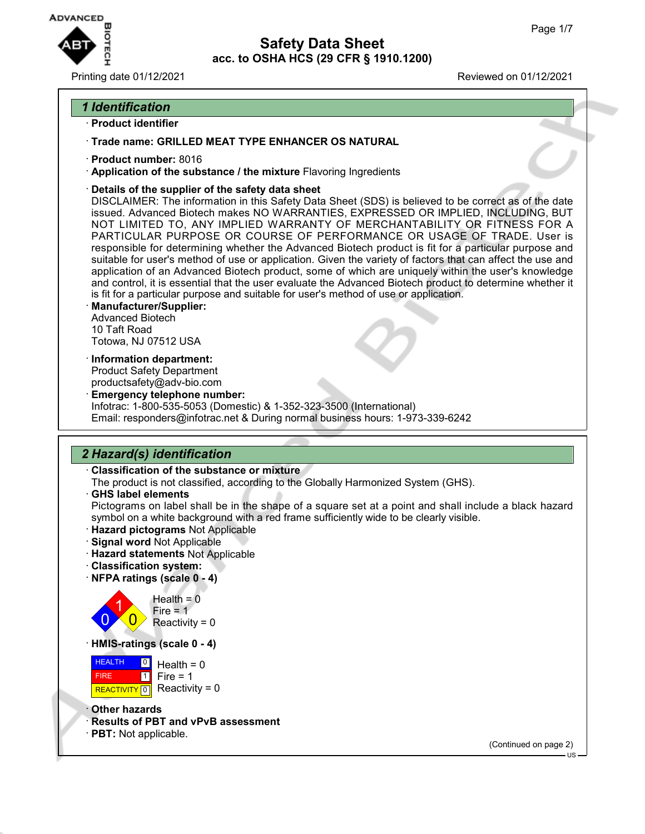

Printing date 01/12/2021 Reviewed on 01/12/2021

### *1 Identification*

#### · **Product identifier**

- · **Trade name: GRILLED MEAT TYPE ENHANCER OS NATURAL**
- · **Product number:** 8016
- · **Application of the substance / the mixture** Flavoring Ingredients
- · **Details of the supplier of the safety data sheet**

DISCLAIMER: The information in this Safety Data Sheet (SDS) is believed to be correct as of the date issued. Advanced Biotech makes NO WARRANTIES, EXPRESSED OR IMPLIED, INCLUDING, BUT NOT LIMITED TO, ANY IMPLIED WARRANTY OF MERCHANTABILITY OR FITNESS FOR A PARTICULAR PURPOSE OR COURSE OF PERFORMANCE OR USAGE OF TRADE. User is responsible for determining whether the Advanced Biotech product is fit for a particular purpose and suitable for user's method of use or application. Given the variety of factors that can affect the use and application of an Advanced Biotech product, some of which are uniquely within the user's knowledge and control, it is essential that the user evaluate the Advanced Biotech product to determine whether it is fit for a particular purpose and suitable for user's method of use or application.

- · **Manufacturer/Supplier:** Advanced Biotech 10 Taft Road Totowa, NJ 07512 USA
- · **Information department:** Product Safety Department productsafety@adv-bio.com
- · **Emergency telephone number:** Infotrac: 1-800-535-5053 (Domestic) & 1-352-323-3500 (International) Email: responders@infotrac.net & During normal business hours: 1-973-339-6242

## *2 Hazard(s) identification*

- · **Classification of the substance or mixture**
- The product is not classified, according to the Globally Harmonized System (GHS).
- · **GHS label elements**

Pictograms on label shall be in the shape of a square set at a point and shall include a black hazard symbol on a white background with a red frame sufficiently wide to be clearly visible.

- · **Hazard pictograms** Not Applicable
- · **Signal word** Not Applicable
- · **Hazard statements** Not Applicable
- · **Classification system:**
- · **NFPA ratings (scale 0 4)**





· **HMIS-ratings (scale 0 - 4)**



- · **Other hazards**
- · **Results of PBT and vPvB assessment**
- · **PBT:** Not applicable.

(Continued on page 2)

US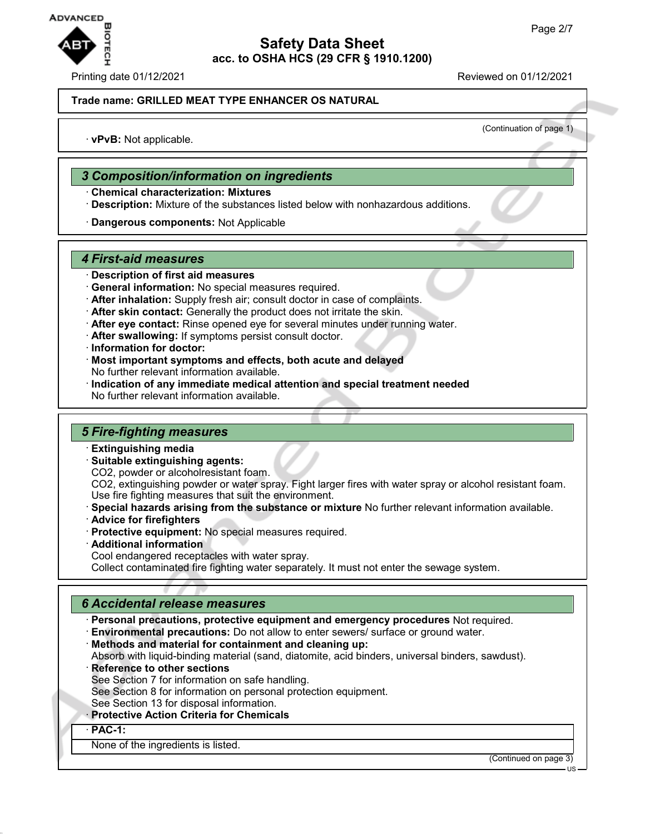

(Continuation of page 1)

#### **Trade name: GRILLED MEAT TYPE ENHANCER OS NATURAL**

· **vPvB:** Not applicable.

### *3 Composition/information on ingredients*

- · **Chemical characterization: Mixtures**
- · **Description:** Mixture of the substances listed below with nonhazardous additions.
- · **Dangerous components:** Not Applicable

### *4 First-aid measures*

- · **Description of first aid measures**
- · **General information:** No special measures required.
- · **After inhalation:** Supply fresh air; consult doctor in case of complaints.
- · **After skin contact:** Generally the product does not irritate the skin.
- · **After eye contact:** Rinse opened eye for several minutes under running water.
- · **After swallowing:** If symptoms persist consult doctor.
- · **Information for doctor:**
- · **Most important symptoms and effects, both acute and delayed** No further relevant information available.
- · **Indication of any immediate medical attention and special treatment needed** No further relevant information available.

### *5 Fire-fighting measures*

- · **Extinguishing media**
- · **Suitable extinguishing agents:**
- CO2, powder or alcoholresistant foam.
- CO2, extinguishing powder or water spray. Fight larger fires with water spray or alcohol resistant foam. Use fire fighting measures that suit the environment.
- · **Special hazards arising from the substance or mixture** No further relevant information available.
- · **Advice for firefighters**
- · **Protective equipment:** No special measures required.
- · **Additional information**
- Cool endangered receptacles with water spray.

Collect contaminated fire fighting water separately. It must not enter the sewage system.

### *6 Accidental release measures*

- · **Personal precautions, protective equipment and emergency procedures** Not required.
- · **Environmental precautions:** Do not allow to enter sewers/ surface or ground water.
- · **Methods and material for containment and cleaning up:**
- Absorb with liquid-binding material (sand, diatomite, acid binders, universal binders, sawdust).
- **Reference to other sections** 
	- See Section 7 for information on safe handling.
	- See Section 8 for information on personal protection equipment.
- See Section 13 for disposal information.
- · **Protective Action Criteria for Chemicals**

· **PAC-1:**

None of the ingredients is listed.

(Continued on page 3)

US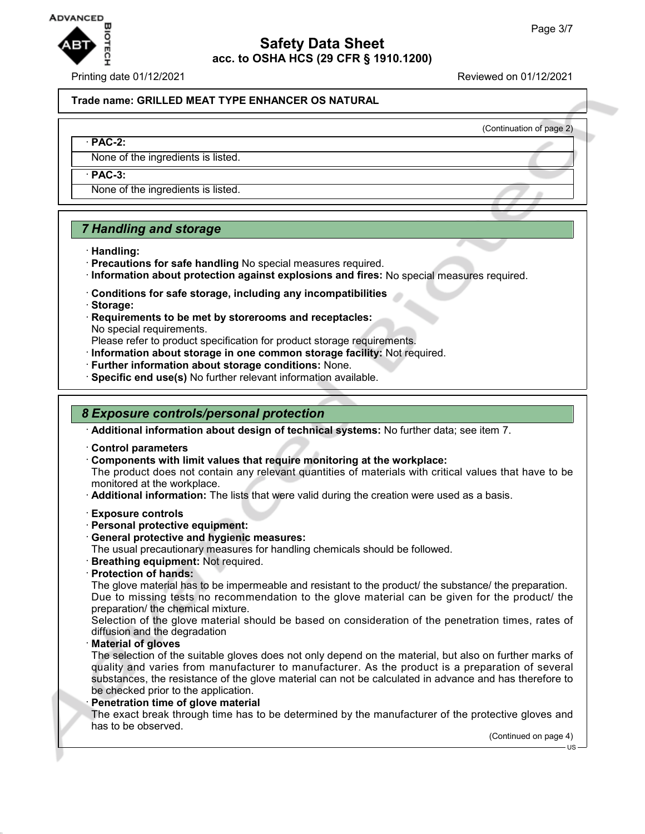

Printing date 01/12/2021 Reviewed on 01/12/2021

(Continuation of page 2)

#### **Trade name: GRILLED MEAT TYPE ENHANCER OS NATURAL**

#### · **PAC-2:**

None of the ingredients is listed.

· **PAC-3:**

None of the ingredients is listed.

### *7 Handling and storage*

- · **Handling:**
- · **Precautions for safe handling** No special measures required.
- · **Information about protection against explosions and fires:** No special measures required.
- · **Conditions for safe storage, including any incompatibilities**
- · **Storage:**
- · **Requirements to be met by storerooms and receptacles:** No special requirements.

Please refer to product specification for product storage requirements.

- · **Information about storage in one common storage facility:** Not required.
- · **Further information about storage conditions:** None.
- · **Specific end use(s)** No further relevant information available.

### *8 Exposure controls/personal protection*

· **Additional information about design of technical systems:** No further data; see item 7.

- · **Control parameters**
- · **Components with limit values that require monitoring at the workplace:**

The product does not contain any relevant quantities of materials with critical values that have to be monitored at the workplace.

- · **Additional information:** The lists that were valid during the creation were used as a basis.
- · **Exposure controls**
- · **Personal protective equipment:**
- · **General protective and hygienic measures:**

The usual precautionary measures for handling chemicals should be followed.

- · **Breathing equipment:** Not required.
- · **Protection of hands:**

The glove material has to be impermeable and resistant to the product/ the substance/ the preparation. Due to missing tests no recommendation to the glove material can be given for the product/ the preparation/ the chemical mixture.

Selection of the glove material should be based on consideration of the penetration times, rates of diffusion and the degradation

· **Material of gloves**

The selection of the suitable gloves does not only depend on the material, but also on further marks of quality and varies from manufacturer to manufacturer. As the product is a preparation of several substances, the resistance of the glove material can not be calculated in advance and has therefore to be checked prior to the application.

**Penetration time of glove material** 

The exact break through time has to be determined by the manufacturer of the protective gloves and has to be observed.

(Continued on page 4)

 $H<sub>S</sub>$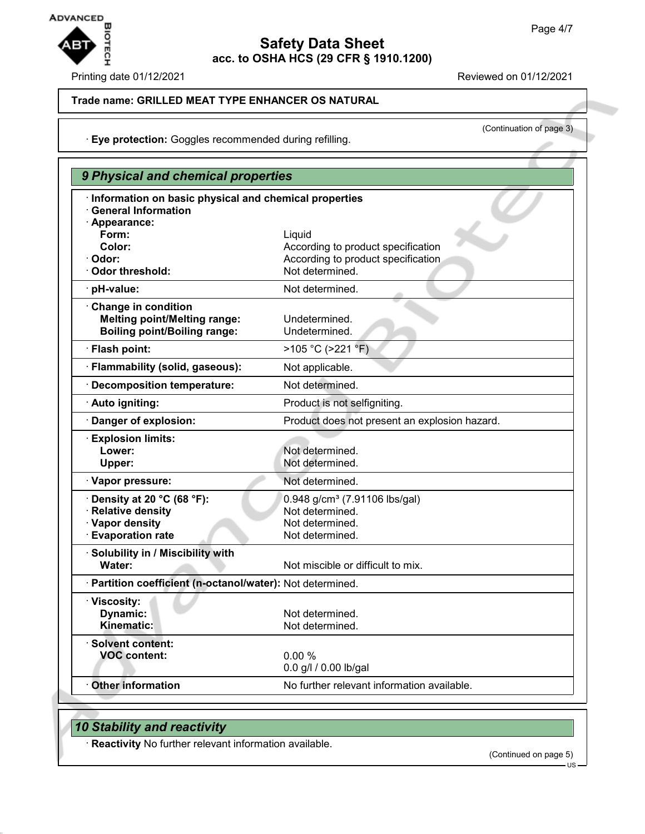

Printing date 01/12/2021 Reviewed on 01/12/2021

(Continuation of page 3)

### **Trade name: GRILLED MEAT TYPE ENHANCER OS NATURAL**

· **Eye protection:** Goggles recommended during refilling.

| 9 Physical and chemical properties                                                                     |                                                                                                       |
|--------------------------------------------------------------------------------------------------------|-------------------------------------------------------------------------------------------------------|
| · Information on basic physical and chemical properties<br><b>General Information</b><br>· Appearance: |                                                                                                       |
| Form:<br>Color:<br>· Odor:<br>Odor threshold:                                                          | Liquid<br>According to product specification<br>According to product specification<br>Not determined. |
| pH-value:                                                                                              | Not determined.                                                                                       |
| Change in condition<br><b>Melting point/Melting range:</b><br><b>Boiling point/Boiling range:</b>      | Undetermined.<br>Undetermined.                                                                        |
| · Flash point:                                                                                         | >105 °C (>221 °F)                                                                                     |
| · Flammability (solid, gaseous):                                                                       | Not applicable.                                                                                       |
| <b>Decomposition temperature:</b>                                                                      | Not determined.                                                                                       |
| · Auto igniting:                                                                                       | Product is not selfigniting.                                                                          |
| Danger of explosion:                                                                                   | Product does not present an explosion hazard.                                                         |
| <b>Explosion limits:</b><br>Lower:<br>Upper:                                                           | Not determined.<br>Not determined.                                                                    |
| · Vapor pressure:                                                                                      | Not determined.                                                                                       |
| Density at 20 °C (68 °F):<br>· Relative density<br>· Vapor density<br><b>Evaporation rate</b>          | 0.948 g/cm <sup>3</sup> (7.91106 lbs/gal)<br>Not determined.<br>Not determined.<br>Not determined.    |
| · Solubility in / Miscibility with<br>Water:                                                           | Not miscible or difficult to mix.                                                                     |
| · Partition coefficient (n-octanol/water): Not determined.                                             |                                                                                                       |
| · Viscosity:<br>Dynamic:<br>Kinematic:                                                                 | Not determined.<br>Not determined.                                                                    |
| · Solvent content:<br><b>VOC content:</b>                                                              | 0.00%<br>0.0 g/l / 0.00 lb/gal                                                                        |
| Other information                                                                                      | No further relevant information available.                                                            |
|                                                                                                        |                                                                                                       |

## *10 Stability and reactivity*

· **Reactivity** No further relevant information available.

(Continued on page 5)

US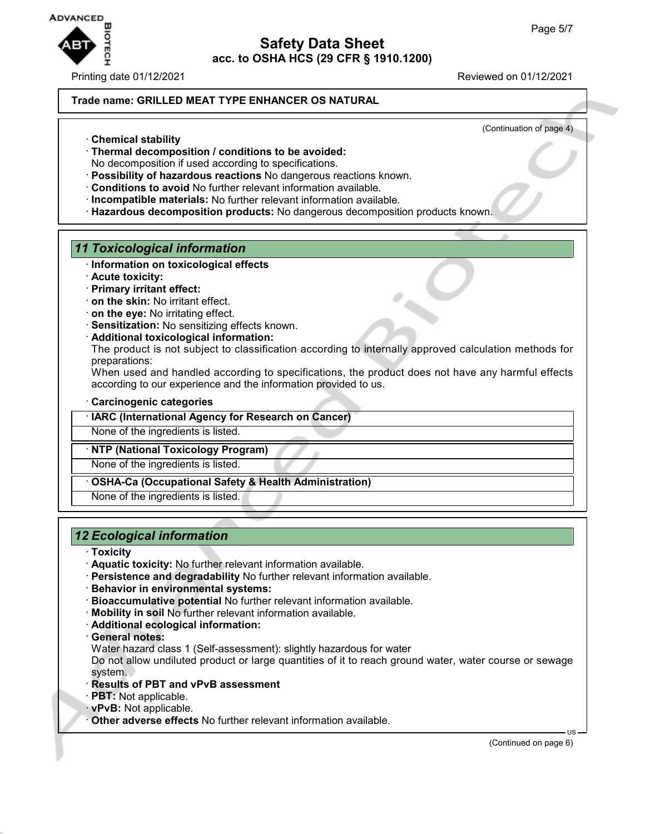

#### Printing date 01/12/2021 Reviewed on 01/12/2021

#### **Trade name: GRILLED MEAT TYPE ENHANCER OS NATURAL**

(Continuation of page 4)

- · **Chemical stability**
- · **Thermal decomposition / conditions to be avoided:**
- No decomposition if used according to specifications.
- · **Possibility of hazardous reactions** No dangerous reactions known.
- · **Conditions to avoid** No further relevant information available.
- · **Incompatible materials:** No further relevant information available.
- · **Hazardous decomposition products:** No dangerous decomposition products known.

### *11 Toxicological information*

- · **Information on toxicological effects**
- · **Acute toxicity:**
- · **Primary irritant effect:**
- · **on the skin:** No irritant effect.
- · **on the eye:** No irritating effect.
- · **Sensitization:** No sensitizing effects known.
- · **Additional toxicological information:**

The product is not subject to classification according to internally approved calculation methods for preparations:

When used and handled according to specifications, the product does not have any harmful effects according to our experience and the information provided to us.

#### · **Carcinogenic categories**

· **IARC (International Agency for Research on Cancer)**

None of the ingredients is listed.

### · **NTP (National Toxicology Program)**

None of the ingredients is listed.

- · **OSHA-Ca (Occupational Safety & Health Administration)**
- None of the ingredients is listed.

## *12 Ecological information*

- · **Toxicity**
- · **Aquatic toxicity:** No further relevant information available.
- · **Persistence and degradability** No further relevant information available.
- · **Behavior in environmental systems:**
- · **Bioaccumulative potential** No further relevant information available.
- · **Mobility in soil** No further relevant information available.
- · **Additional ecological information:**
- · **General notes:**

Water hazard class 1 (Self-assessment): slightly hazardous for water

Do not allow undiluted product or large quantities of it to reach ground water, water course or sewage system.

- · **Results of PBT and vPvB assessment**
- · **PBT:** Not applicable.
- · **vPvB:** Not applicable.
- · **Other adverse effects** No further relevant information available.

(Continued on page 6)

US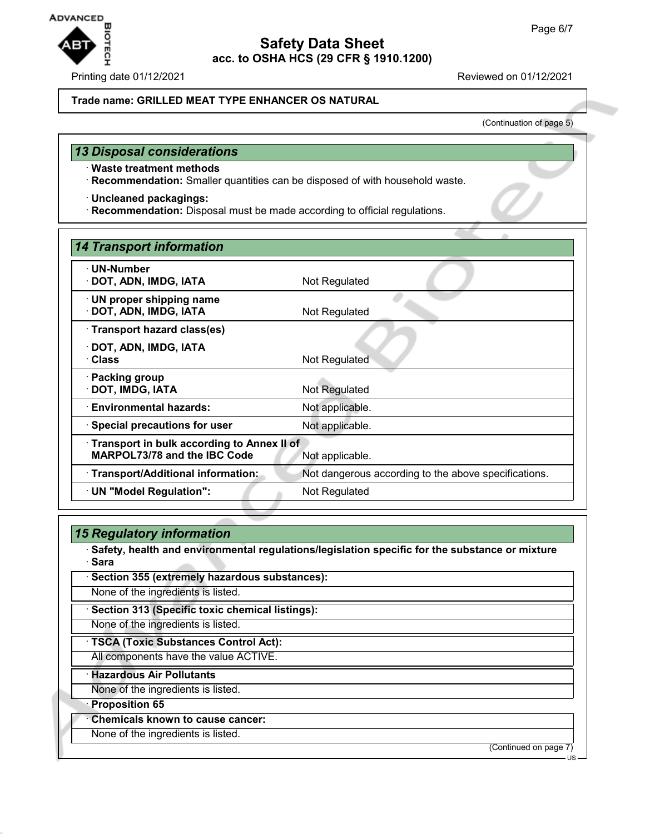US



## **Safety Data Sheet acc. to OSHA HCS (29 CFR § 1910.1200)**

Printing date 01/12/2021 Reviewed on 01/12/2021

### **Trade name: GRILLED MEAT TYPE ENHANCER OS NATURAL**

(Continuation of page 5)

# *13 Disposal considerations*

- · **Waste treatment methods**
- · **Recommendation:** Smaller quantities can be disposed of with household waste.
- · **Uncleaned packagings:**
- · **Recommendation:** Disposal must be made according to official regulations.

| <b>14 Transport information</b>                           |                                                      |
|-----------------------------------------------------------|------------------------------------------------------|
| · UN-Number                                               |                                                      |
| · DOT, ADN, IMDG, IATA                                    | Not Regulated                                        |
| $\cdot$ UN proper shipping name<br>· DOT, ADN, IMDG, IATA | Not Regulated                                        |
| · Transport hazard class(es)                              |                                                      |
| · DOT, ADN, IMDG, IATA                                    |                                                      |
| · Class                                                   | Not Regulated                                        |
| · Packing group<br>· DOT, IMDG, IATA                      | Not Regulated                                        |
| · Environmental hazards:                                  | Not applicable.                                      |
| · Special precautions for user                            | Not applicable.                                      |
| Transport in bulk according to Annex II of                |                                                      |
| <b>MARPOL73/78 and the IBC Code</b>                       | Not applicable.                                      |
| · Transport/Additional information:                       | Not dangerous according to the above specifications. |
| · UN "Model Regulation":                                  | Not Regulated                                        |
|                                                           |                                                      |

| · Sara           | · Safety, health and environmental regulations/legislation specific for the substance or mixture |  |
|------------------|--------------------------------------------------------------------------------------------------|--|
|                  | · Section 355 (extremely hazardous substances):                                                  |  |
|                  | None of the ingredients is listed.                                                               |  |
|                  | Section 313 (Specific toxic chemical listings):                                                  |  |
|                  | None of the ingredients is listed.                                                               |  |
|                  | · TSCA (Toxic Substances Control Act):                                                           |  |
|                  | All components have the value ACTIVE.                                                            |  |
|                  | · Hazardous Air Pollutants                                                                       |  |
|                  | None of the ingredients is listed.                                                               |  |
| · Proposition 65 |                                                                                                  |  |
|                  | <b>Chemicals known to cause cancer:</b>                                                          |  |
|                  | None of the ingredients is listed.                                                               |  |